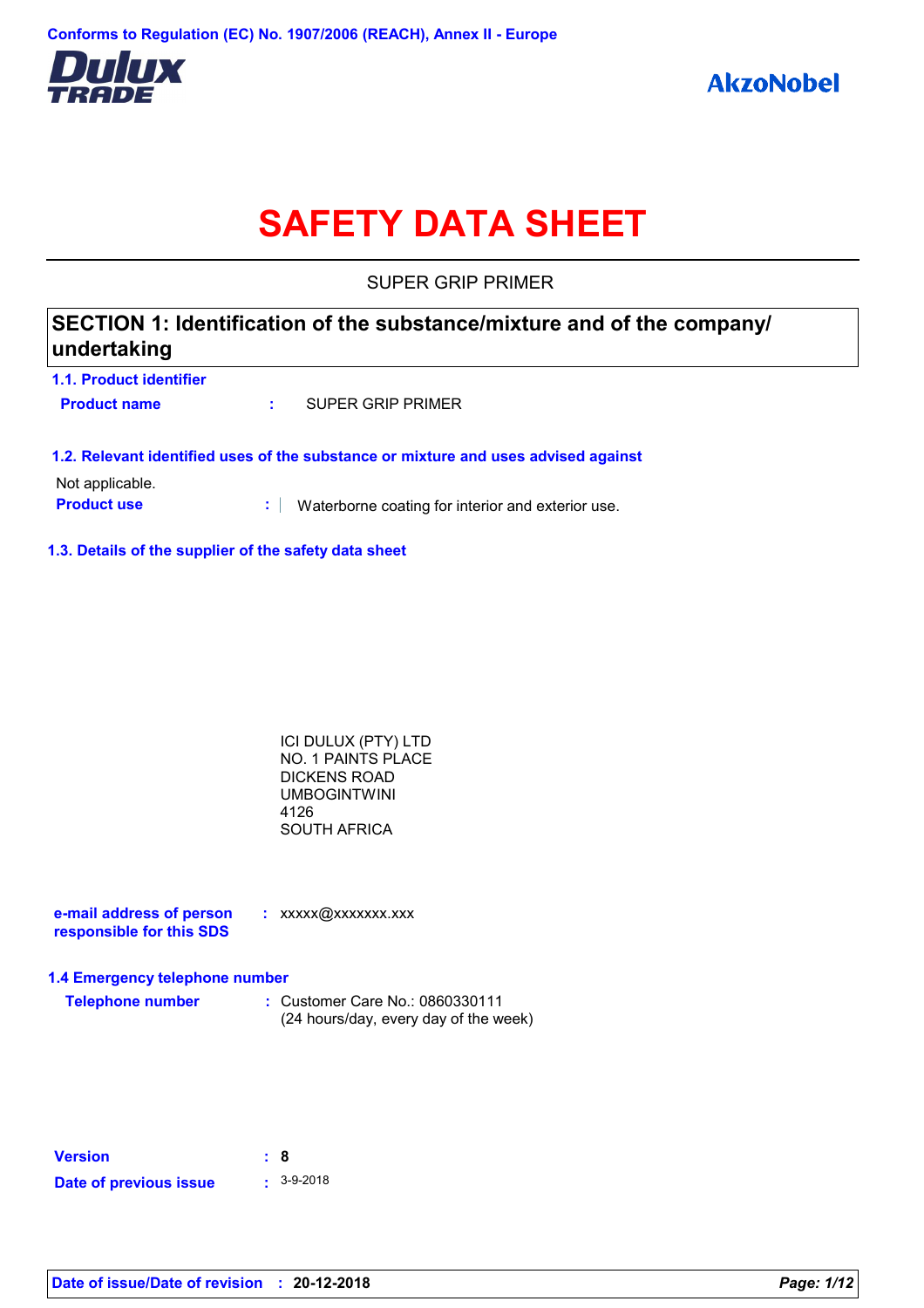

# **SAFETY DATA SHEET**

SUPER GRIP PRIMER

# **SECTION 1: Identification of the substance/mixture and of the company/ undertaking**

| 1.1. Product identifier |                   |
|-------------------------|-------------------|
| <b>Product name</b>     | SUPER GRIP PRIMER |

#### **1.2. Relevant identified uses of the substance or mixture and uses advised against**

Not applicable.

**Product use <b>:** Waterborne coating for interior and exterior use.

#### **1.3. Details of the supplier of the safety data sheet**

| ICI DULUX (PTY) LTD |  |
|---------------------|--|
| NO. 1 PAINTS PLACE  |  |
| DICKENS ROAD        |  |
| UMBOGINTWINI        |  |
| 4126                |  |
| SOUTH AFRICA        |  |

**e-mail address of person responsible for this SDS :** xxxxx@xxxxxxx.xxx

#### **1.4 Emergency telephone number**

| <b>Telephone number</b> | : Customer Care No.: 0860330111       |  |
|-------------------------|---------------------------------------|--|
|                         | (24 hours/day, every day of the week) |  |

| <b>Version</b>         | : 8 |                  |
|------------------------|-----|------------------|
| Date of previous issue |     | $\cdot$ 3-9-2018 |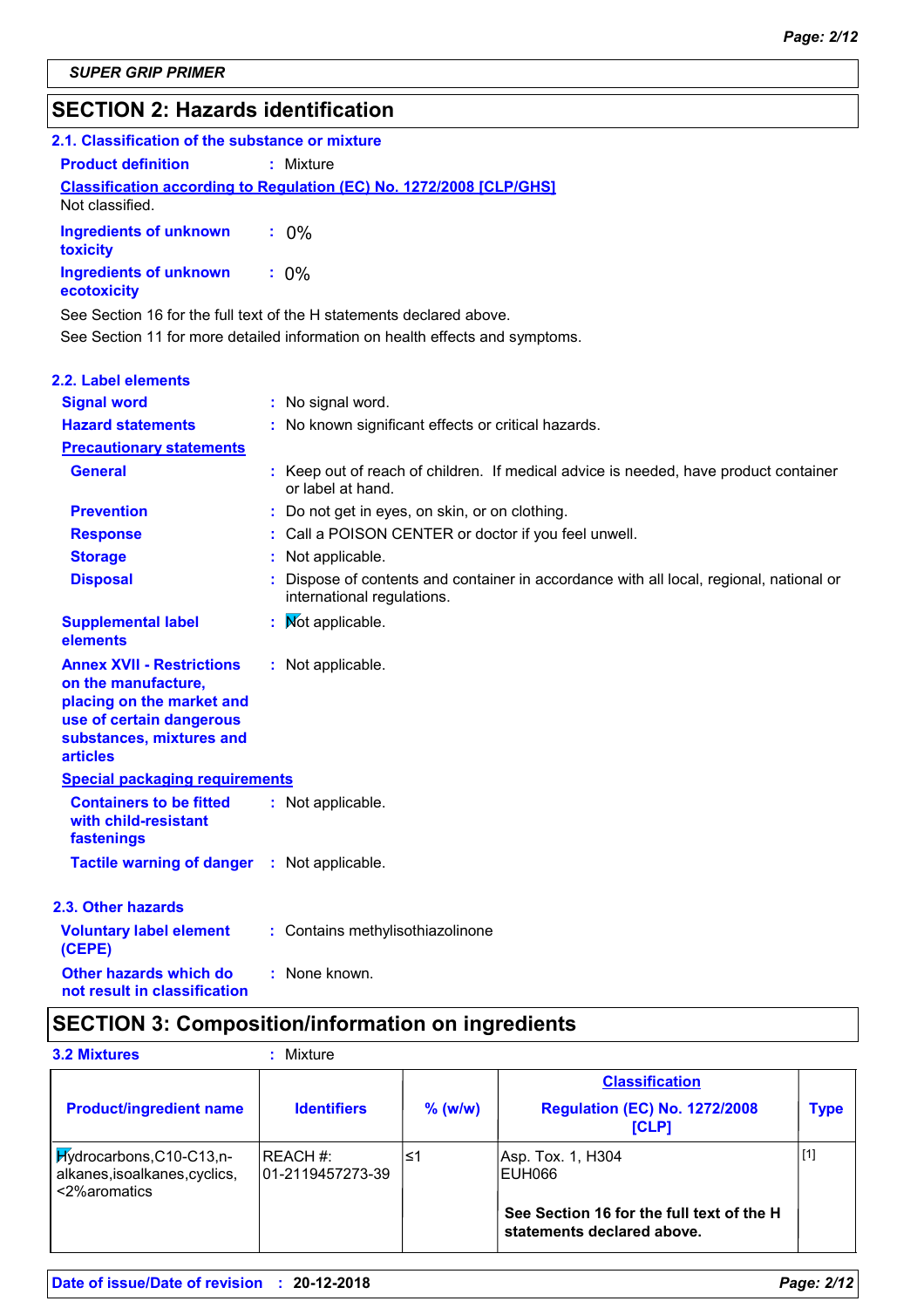# **SECTION 2: Hazards identification**

| 2.1. Classification of the substance or mixture |                                                                            |
|-------------------------------------------------|----------------------------------------------------------------------------|
| <b>Product definition</b>                       | : Mixture                                                                  |
| Not classified.                                 | <b>Classification according to Regulation (EC) No. 1272/2008 [CLP/GHS]</b> |
| Ingredients of unknown : 0%<br>toxicity         |                                                                            |
| <b>Ingredients of unknown</b><br>ecotoxicity    | $: 0\%$                                                                    |

See Section 11 for more detailed information on health effects and symptoms. See Section 16 for the full text of the H statements declared above.

| <b>2.2. Label elements</b>                                                                                                                                      |                                                                                                                     |
|-----------------------------------------------------------------------------------------------------------------------------------------------------------------|---------------------------------------------------------------------------------------------------------------------|
| <b>Signal word</b>                                                                                                                                              | : No signal word.                                                                                                   |
| <b>Hazard statements</b>                                                                                                                                        | : No known significant effects or critical hazards.                                                                 |
| <b>Precautionary statements</b>                                                                                                                                 |                                                                                                                     |
| <b>General</b>                                                                                                                                                  | : Keep out of reach of children. If medical advice is needed, have product container<br>or label at hand.           |
| <b>Prevention</b>                                                                                                                                               | : Do not get in eyes, on skin, or on clothing.                                                                      |
| <b>Response</b>                                                                                                                                                 | : Call a POISON CENTER or doctor if you feel unwell.                                                                |
| <b>Storage</b>                                                                                                                                                  | : Not applicable.                                                                                                   |
| <b>Disposal</b>                                                                                                                                                 | Dispose of contents and container in accordance with all local, regional, national or<br>international regulations. |
| <b>Supplemental label</b><br>elements                                                                                                                           | : Mot applicable.                                                                                                   |
| <b>Annex XVII - Restrictions</b><br>on the manufacture,<br>placing on the market and<br>use of certain dangerous<br>substances, mixtures and<br><b>articles</b> | : Not applicable.                                                                                                   |
| <b>Special packaging requirements</b>                                                                                                                           |                                                                                                                     |
| <b>Containers to be fitted</b><br>with child-resistant<br>fastenings                                                                                            | : Not applicable.                                                                                                   |
| <b>Tactile warning of danger</b>                                                                                                                                | : Not applicable.                                                                                                   |
| 2.3. Other hazards                                                                                                                                              |                                                                                                                     |
| <b>Voluntary label element</b><br>(CEPE)                                                                                                                        | : Contains methylisothiazolinone                                                                                    |
| <b>Other hazards which do</b><br>not result in classification                                                                                                   | : None known.                                                                                                       |

# **SECTION 3: Composition/information on ingredients**

| <b>3.2 Mixtures</b>                                                        | Mixture                       |           |                                                                         |             |
|----------------------------------------------------------------------------|-------------------------------|-----------|-------------------------------------------------------------------------|-------------|
|                                                                            |                               |           | <b>Classification</b>                                                   |             |
| <b>Product/ingredient name</b>                                             | <b>Identifiers</b>            | $%$ (w/w) | <b>Regulation (EC) No. 1272/2008</b><br>[CLP]                           | <b>Type</b> |
| Hydrocarbons, C10-C13, n-<br>alkanes, isoalkanes, cyclics,<br><2%aromatics | REACH #:<br>101-2119457273-39 | ′≤1       | Asp. Tox. 1, H304<br>EUH066                                             | $[1]$       |
|                                                                            |                               |           | See Section 16 for the full text of the H<br>statements declared above. |             |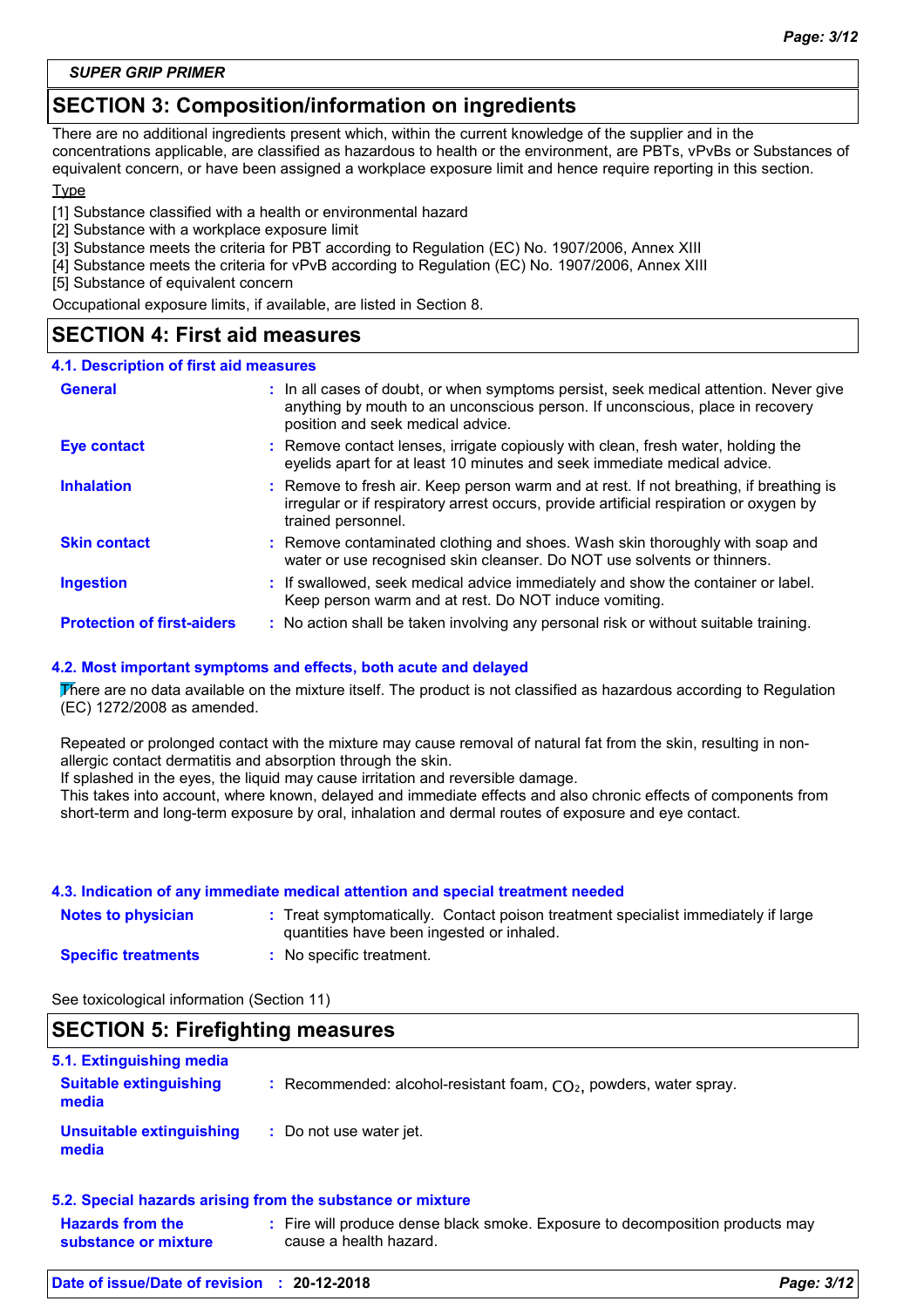*SUPER GRIP PRIMER*

# **SECTION 3: Composition/information on ingredients**

There are no additional ingredients present which, within the current knowledge of the supplier and in the concentrations applicable, are classified as hazardous to health or the environment, are PBTs, vPvBs or Substances of equivalent concern, or have been assigned a workplace exposure limit and hence require reporting in this section.

#### **Type**

[1] Substance classified with a health or environmental hazard

- [2] Substance with a workplace exposure limit
- [3] Substance meets the criteria for PBT according to Regulation (EC) No. 1907/2006, Annex XIII
- [4] Substance meets the criteria for vPvB according to Regulation (EC) No. 1907/2006, Annex XIII

[5] Substance of equivalent concern

Occupational exposure limits, if available, are listed in Section 8.

### **SECTION 4: First aid measures**

#### **4.1. Description of first aid measures**

| <b>General</b>                    | : In all cases of doubt, or when symptoms persist, seek medical attention. Never give<br>anything by mouth to an unconscious person. If unconscious, place in recovery<br>position and seek medical advice. |
|-----------------------------------|-------------------------------------------------------------------------------------------------------------------------------------------------------------------------------------------------------------|
| Eye contact                       | : Remove contact lenses, irrigate copiously with clean, fresh water, holding the<br>eyelids apart for at least 10 minutes and seek immediate medical advice.                                                |
| <b>Inhalation</b>                 | : Remove to fresh air. Keep person warm and at rest. If not breathing, if breathing is<br>irregular or if respiratory arrest occurs, provide artificial respiration or oxygen by<br>trained personnel.      |
| <b>Skin contact</b>               | : Remove contaminated clothing and shoes. Wash skin thoroughly with soap and<br>water or use recognised skin cleanser. Do NOT use solvents or thinners.                                                     |
| <b>Ingestion</b>                  | : If swallowed, seek medical advice immediately and show the container or label.<br>Keep person warm and at rest. Do NOT induce vomiting.                                                                   |
| <b>Protection of first-aiders</b> | : No action shall be taken involving any personal risk or without suitable training.                                                                                                                        |

#### **4.2. Most important symptoms and effects, both acute and delayed**

There are no data available on the mixture itself. The product is not classified as hazardous according to Regulation (EC) 1272/2008 as amended.

Repeated or prolonged contact with the mixture may cause removal of natural fat from the skin, resulting in nonallergic contact dermatitis and absorption through the skin.

If splashed in the eyes, the liquid may cause irritation and reversible damage.

This takes into account, where known, delayed and immediate effects and also chronic effects of components from short-term and long-term exposure by oral, inhalation and dermal routes of exposure and eye contact.

#### **4.3. Indication of any immediate medical attention and special treatment needed**

| <b>Notes to physician</b>  | : Treat symptomatically. Contact poison treatment specialist immediately if large<br>quantities have been ingested or inhaled. |
|----------------------------|--------------------------------------------------------------------------------------------------------------------------------|
| <b>Specific treatments</b> | No specific treatment.                                                                                                         |

See toxicological information (Section 11)

| <b>SECTION 5: Firefighting measures</b><br>5.1. Extinguishing media |                                                                      |
|---------------------------------------------------------------------|----------------------------------------------------------------------|
| <b>Suitable extinguishing</b><br>media                              | : Recommended: alcohol-resistant foam, $CO2$ , powders, water spray. |
| <b>Unsuitable extinguishing</b><br>media                            | : Do not use water jet.                                              |
|                                                                     | 5.2. Special hazards arising from the substance or mixture           |

| <b>Hazards from the</b> | Fire will produce dense black smoke. Exposure to decomposition products may |  |
|-------------------------|-----------------------------------------------------------------------------|--|
| substance or mixture    | cause a health hazard.                                                      |  |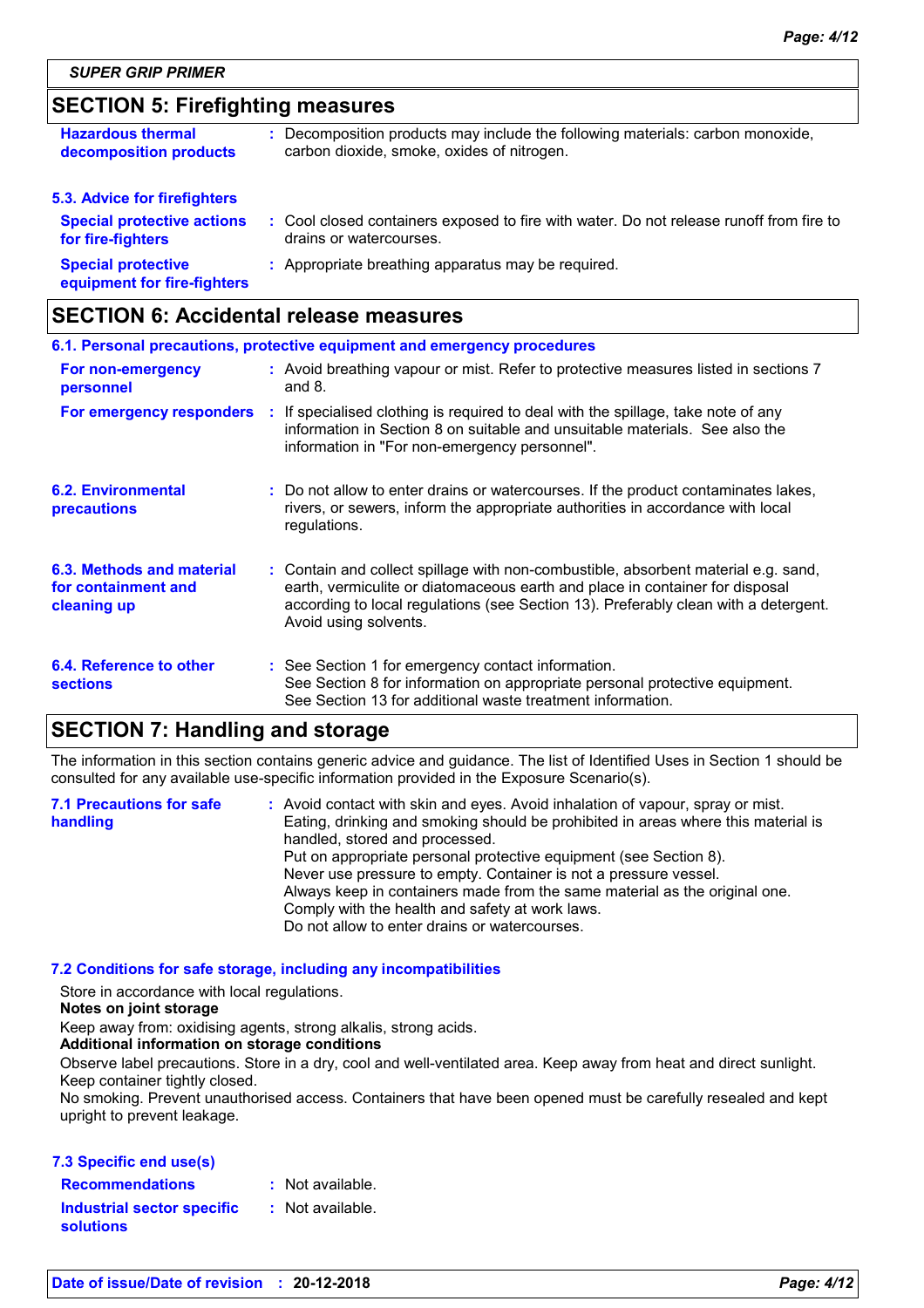# **SECTION 5: Firefighting measures**

| <b>Hazardous thermal</b>                                 | : Decomposition products may include the following materials: carbon monoxide,          |
|----------------------------------------------------------|-----------------------------------------------------------------------------------------|
| decomposition products                                   | carbon dioxide, smoke, oxides of nitrogen.                                              |
| 5.3. Advice for firefighters                             |                                                                                         |
| <b>Special protective actions</b>                        | : Cool closed containers exposed to fire with water. Do not release runoff from fire to |
| for fire-fighters                                        | drains or watercourses.                                                                 |
| <b>Special protective</b><br>equipment for fire-fighters | : Appropriate breathing apparatus may be required.                                      |

### **SECTION 6: Accidental release measures**

| 6.1. Personal precautions, protective equipment and emergency procedures |  |                                                                                                                                                                                                                                                                                    |
|--------------------------------------------------------------------------|--|------------------------------------------------------------------------------------------------------------------------------------------------------------------------------------------------------------------------------------------------------------------------------------|
| For non-emergency<br>personnel                                           |  | : Avoid breathing vapour or mist. Refer to protective measures listed in sections 7<br>and $8.$                                                                                                                                                                                    |
| For emergency responders                                                 |  | : If specialised clothing is required to deal with the spillage, take note of any<br>information in Section 8 on suitable and unsuitable materials. See also the<br>information in "For non-emergency personnel".                                                                  |
| <b>6.2. Environmental</b><br>precautions                                 |  | : Do not allow to enter drains or watercourses. If the product contaminates lakes,<br>rivers, or sewers, inform the appropriate authorities in accordance with local<br>regulations.                                                                                               |
| 6.3. Methods and material<br>for containment and<br>cleaning up          |  | : Contain and collect spillage with non-combustible, absorbent material e.g. sand,<br>earth, vermiculite or diatomaceous earth and place in container for disposal<br>according to local regulations (see Section 13). Preferably clean with a detergent.<br>Avoid using solvents. |
| 6.4. Reference to other<br><b>sections</b>                               |  | : See Section 1 for emergency contact information.<br>See Section 8 for information on appropriate personal protective equipment.<br>See Section 13 for additional waste treatment information.                                                                                    |

# **SECTION 7: Handling and storage**

The information in this section contains generic advice and guidance. The list of Identified Uses in Section 1 should be consulted for any available use-specific information provided in the Exposure Scenario(s).

| <b>7.1 Precautions for safe</b> | : Avoid contact with skin and eyes. Avoid inhalation of vapour, spray or mist.    |
|---------------------------------|-----------------------------------------------------------------------------------|
| handling                        | Eating, drinking and smoking should be prohibited in areas where this material is |
|                                 | handled, stored and processed.                                                    |
|                                 | Put on appropriate personal protective equipment (see Section 8).                 |
|                                 | Never use pressure to empty. Container is not a pressure vessel.                  |
|                                 | Always keep in containers made from the same material as the original one.        |
|                                 | Comply with the health and safety at work laws.                                   |
|                                 | Do not allow to enter drains or watercourses.                                     |

#### **7.2 Conditions for safe storage, including any incompatibilities**

Store in accordance with local regulations.

#### **Notes on joint storage**

Keep away from: oxidising agents, strong alkalis, strong acids.

#### **Additional information on storage conditions**

Observe label precautions. Store in a dry, cool and well-ventilated area. Keep away from heat and direct sunlight. Keep container tightly closed.

No smoking. Prevent unauthorised access. Containers that have been opened must be carefully resealed and kept upright to prevent leakage.

#### **7.3 Specific end use(s)**

| <b>Recommendations</b>                         | $:$ Not available. |
|------------------------------------------------|--------------------|
| <b>Industrial sector specific</b><br>solutions | : Not available.   |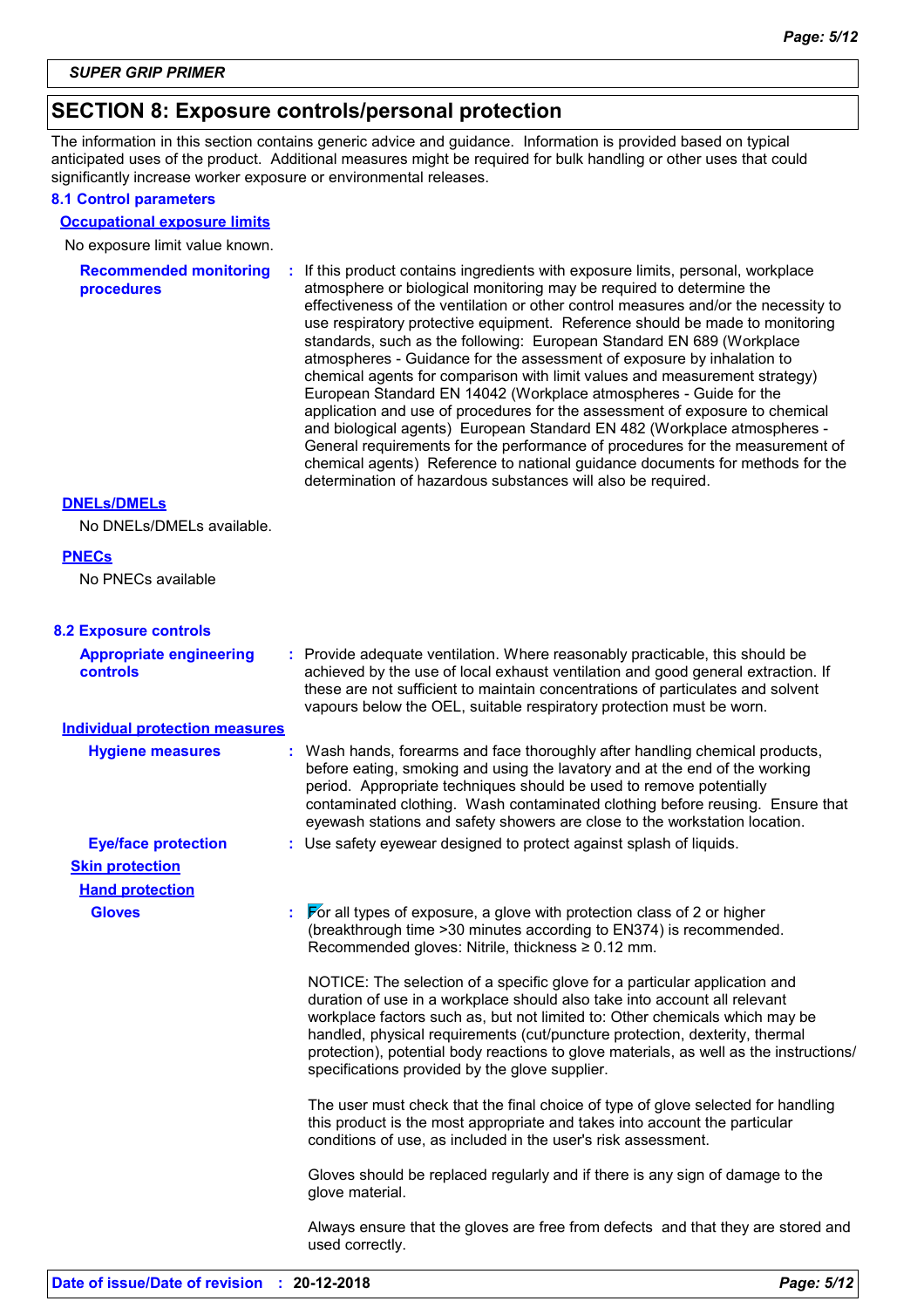### **SECTION 8: Exposure controls/personal protection**

The information in this section contains generic advice and guidance. Information is provided based on typical anticipated uses of the product. Additional measures might be required for bulk handling or other uses that could significantly increase worker exposure or environmental releases.

#### **8.1 Control parameters**

#### **Occupational exposure limits**

No exposure limit value known.

**Recommended monitoring procedures :** If this product contains ingredients with exposure limits, personal, workplace atmosphere or biological monitoring may be required to determine the effectiveness of the ventilation or other control measures and/or the necessity to use respiratory protective equipment. Reference should be made to monitoring standards, such as the following: European Standard EN 689 (Workplace atmospheres - Guidance for the assessment of exposure by inhalation to chemical agents for comparison with limit values and measurement strategy) European Standard EN 14042 (Workplace atmospheres - Guide for the application and use of procedures for the assessment of exposure to chemical and biological agents) European Standard EN 482 (Workplace atmospheres - General requirements for the performance of procedures for the measurement of chemical agents) Reference to national guidance documents for methods for the determination of hazardous substances will also be required.

#### **DNELs/DMELs**

No DNELs/DMELs available.

#### **PNECs**

No PNECs available

#### **8.2 Exposure controls**

| <b>Appropriate engineering</b><br><b>controls</b> | Provide adequate ventilation. Where reasonably practicable, this should be<br>achieved by the use of local exhaust ventilation and good general extraction. If<br>these are not sufficient to maintain concentrations of particulates and solvent<br>vapours below the OEL, suitable respiratory protection must be worn.                                                                                                                                         |  |
|---------------------------------------------------|-------------------------------------------------------------------------------------------------------------------------------------------------------------------------------------------------------------------------------------------------------------------------------------------------------------------------------------------------------------------------------------------------------------------------------------------------------------------|--|
| <b>Individual protection measures</b>             |                                                                                                                                                                                                                                                                                                                                                                                                                                                                   |  |
| <b>Hygiene measures</b>                           | : Wash hands, forearms and face thoroughly after handling chemical products,<br>before eating, smoking and using the lavatory and at the end of the working<br>period. Appropriate techniques should be used to remove potentially<br>contaminated clothing. Wash contaminated clothing before reusing. Ensure that<br>eyewash stations and safety showers are close to the workstation location.                                                                 |  |
| <b>Eye/face protection</b>                        | : Use safety eyewear designed to protect against splash of liquids.                                                                                                                                                                                                                                                                                                                                                                                               |  |
| <b>Skin protection</b>                            |                                                                                                                                                                                                                                                                                                                                                                                                                                                                   |  |
| <b>Hand protection</b>                            |                                                                                                                                                                                                                                                                                                                                                                                                                                                                   |  |
| <b>Gloves</b>                                     | $\triangleright$ or all types of exposure, a glove with protection class of 2 or higher<br>(breakthrough time > 30 minutes according to EN374) is recommended.<br>Recommended gloves: Nitrile, thickness ≥ 0.12 mm.                                                                                                                                                                                                                                               |  |
|                                                   | NOTICE: The selection of a specific glove for a particular application and<br>duration of use in a workplace should also take into account all relevant<br>workplace factors such as, but not limited to: Other chemicals which may be<br>handled, physical requirements (cut/puncture protection, dexterity, thermal<br>protection), potential body reactions to glove materials, as well as the instructions/<br>specifications provided by the glove supplier. |  |
|                                                   | The user must check that the final choice of type of glove selected for handling<br>this product is the most appropriate and takes into account the particular<br>conditions of use, as included in the user's risk assessment.                                                                                                                                                                                                                                   |  |
|                                                   | Gloves should be replaced regularly and if there is any sign of damage to the<br>glove material.                                                                                                                                                                                                                                                                                                                                                                  |  |
|                                                   | Always ensure that the gloves are free from defects and that they are stored and<br>used correctly.                                                                                                                                                                                                                                                                                                                                                               |  |
|                                                   |                                                                                                                                                                                                                                                                                                                                                                                                                                                                   |  |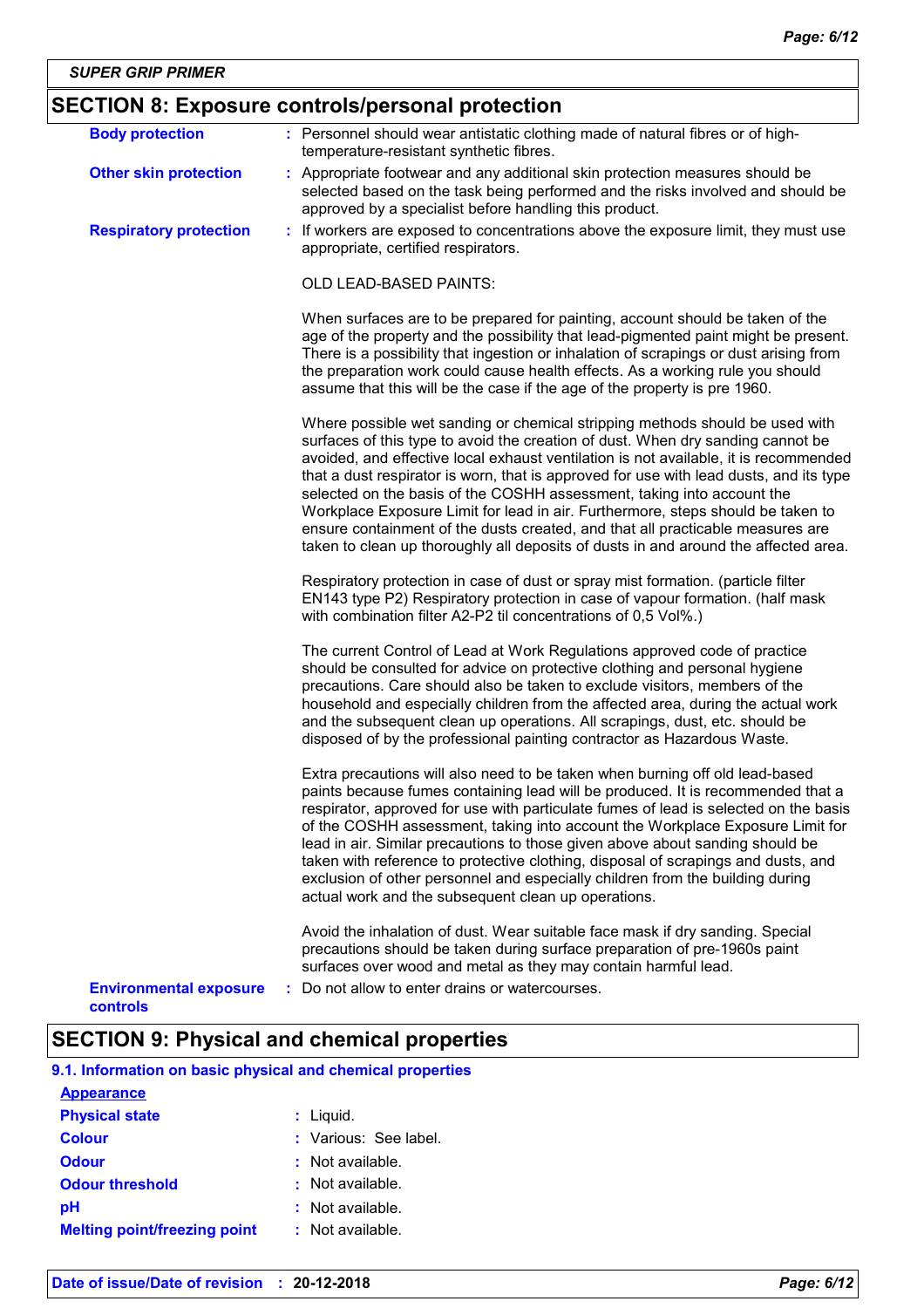# **SECTION 8: Exposure controls/personal protection**

| <b>Body protection</b>                    | : Personnel should wear antistatic clothing made of natural fibres or of high-<br>temperature-resistant synthetic fibres.                                                                                                                                                                                                                                                                                                                                                                                                                                                                                                                                                               |
|-------------------------------------------|-----------------------------------------------------------------------------------------------------------------------------------------------------------------------------------------------------------------------------------------------------------------------------------------------------------------------------------------------------------------------------------------------------------------------------------------------------------------------------------------------------------------------------------------------------------------------------------------------------------------------------------------------------------------------------------------|
| <b>Other skin protection</b>              | : Appropriate footwear and any additional skin protection measures should be<br>selected based on the task being performed and the risks involved and should be<br>approved by a specialist before handling this product.                                                                                                                                                                                                                                                                                                                                                                                                                                                               |
| <b>Respiratory protection</b>             | : If workers are exposed to concentrations above the exposure limit, they must use<br>appropriate, certified respirators.                                                                                                                                                                                                                                                                                                                                                                                                                                                                                                                                                               |
|                                           | <b>OLD LEAD-BASED PAINTS:</b>                                                                                                                                                                                                                                                                                                                                                                                                                                                                                                                                                                                                                                                           |
|                                           | When surfaces are to be prepared for painting, account should be taken of the<br>age of the property and the possibility that lead-pigmented paint might be present.<br>There is a possibility that ingestion or inhalation of scrapings or dust arising from<br>the preparation work could cause health effects. As a working rule you should<br>assume that this will be the case if the age of the property is pre 1960.                                                                                                                                                                                                                                                             |
|                                           | Where possible wet sanding or chemical stripping methods should be used with<br>surfaces of this type to avoid the creation of dust. When dry sanding cannot be<br>avoided, and effective local exhaust ventilation is not available, it is recommended<br>that a dust respirator is worn, that is approved for use with lead dusts, and its type<br>selected on the basis of the COSHH assessment, taking into account the<br>Workplace Exposure Limit for lead in air. Furthermore, steps should be taken to<br>ensure containment of the dusts created, and that all practicable measures are<br>taken to clean up thoroughly all deposits of dusts in and around the affected area. |
|                                           | Respiratory protection in case of dust or spray mist formation. (particle filter<br>EN143 type P2) Respiratory protection in case of vapour formation. (half mask<br>with combination filter A2-P2 til concentrations of 0,5 Vol%.)                                                                                                                                                                                                                                                                                                                                                                                                                                                     |
|                                           | The current Control of Lead at Work Regulations approved code of practice<br>should be consulted for advice on protective clothing and personal hygiene<br>precautions. Care should also be taken to exclude visitors, members of the<br>household and especially children from the affected area, during the actual work<br>and the subsequent clean up operations. All scrapings, dust, etc. should be<br>disposed of by the professional painting contractor as Hazardous Waste.                                                                                                                                                                                                     |
|                                           | Extra precautions will also need to be taken when burning off old lead-based<br>paints because fumes containing lead will be produced. It is recommended that a<br>respirator, approved for use with particulate fumes of lead is selected on the basis<br>of the COSHH assessment, taking into account the Workplace Exposure Limit for<br>lead in air. Similar precautions to those given above about sanding should be<br>taken with reference to protective clothing, disposal of scrapings and dusts, and<br>exclusion of other personnel and especially children from the building during<br>actual work and the subsequent clean up operations.                                  |
|                                           | Avoid the inhalation of dust. Wear suitable face mask if dry sanding. Special<br>precautions should be taken during surface preparation of pre-1960s paint<br>surfaces over wood and metal as they may contain harmful lead.                                                                                                                                                                                                                                                                                                                                                                                                                                                            |
| <b>Environmental exposure</b><br>controls | : Do not allow to enter drains or watercourses.                                                                                                                                                                                                                                                                                                                                                                                                                                                                                                                                                                                                                                         |

# **SECTION 9: Physical and chemical properties**

**9.1. Information on basic physical and chemical properties**

| <b>Appearance</b>                   |                       |
|-------------------------------------|-----------------------|
| <b>Physical state</b>               | $:$ Liquid.           |
| <b>Colour</b>                       | : Various: See label. |
| <b>Odour</b>                        | : Not available.      |
| <b>Odour threshold</b>              | $\pm$ Not available.  |
| рH                                  | $:$ Not available.    |
| <b>Melting point/freezing point</b> | $:$ Not available.    |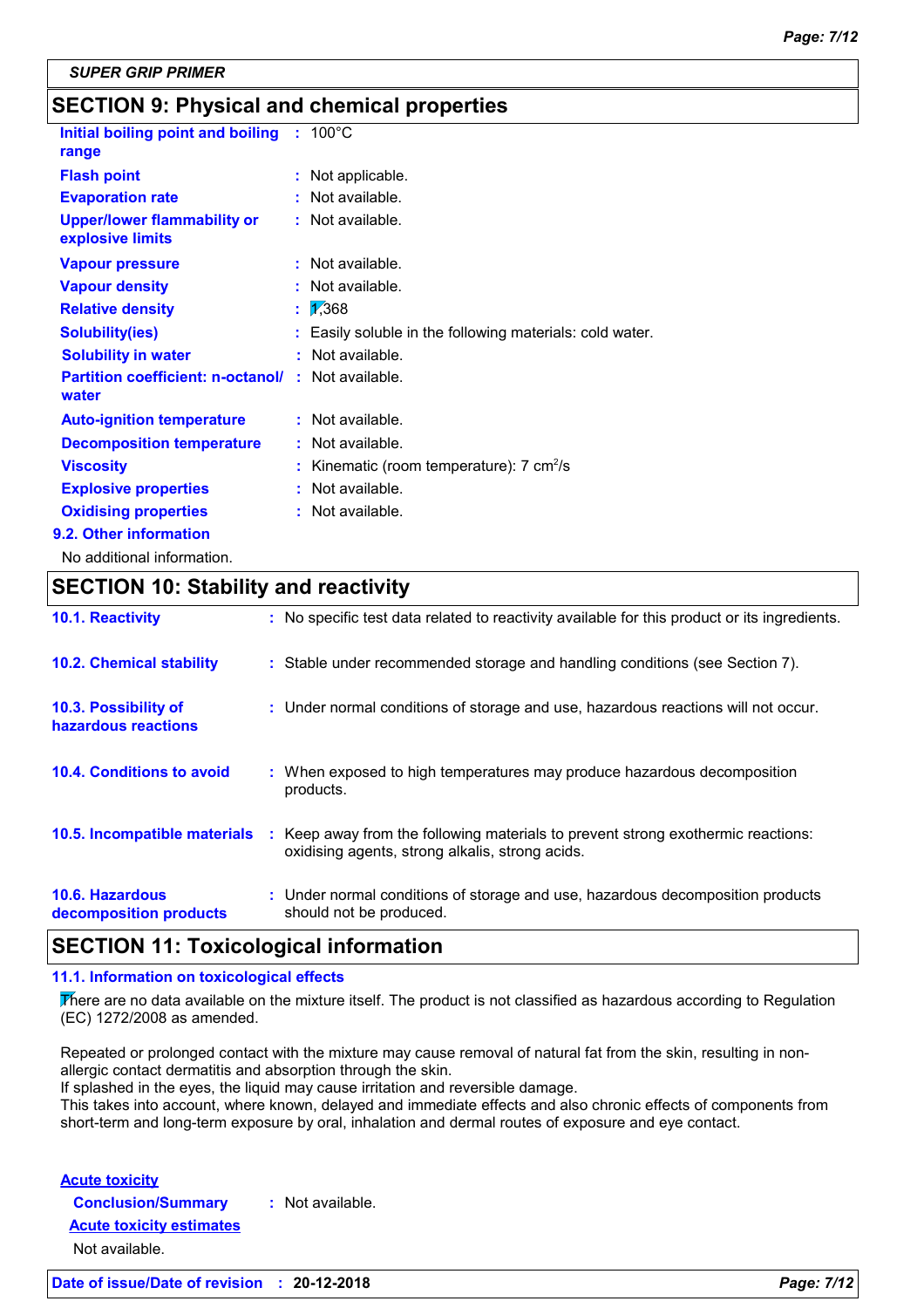# **SECTION 9: Physical and chemical properties**

| Initial boiling point and boiling<br>range             | $: 100^{\circ}$ C                                            |
|--------------------------------------------------------|--------------------------------------------------------------|
| <b>Flash point</b>                                     | Not applicable.<br>÷.                                        |
| <b>Evaporation rate</b>                                | $:$ Not available.                                           |
| <b>Upper/lower flammability or</b><br>explosive limits | $:$ Not available.                                           |
| <b>Vapour pressure</b>                                 | $:$ Not available.                                           |
| <b>Vapour density</b>                                  | Not available.<br>t.                                         |
| <b>Relative density</b>                                | $\frac{1}{368}$<br>t                                         |
| <b>Solubility(ies)</b>                                 | Easily soluble in the following materials: cold water.<br>t. |
| <b>Solubility in water</b>                             | : Not available.                                             |
| <b>Partition coefficient: n-octanol/</b><br>water      | : Not available.                                             |
| <b>Auto-ignition temperature</b>                       | : Not available.                                             |
| <b>Decomposition temperature</b>                       | : Not available.                                             |
| <b>Viscosity</b>                                       | Kinematic (room temperature): $7 \text{ cm}^2/\text{s}$      |
| <b>Explosive properties</b>                            | : Not available.                                             |
| <b>Oxidising properties</b>                            | : Not available.                                             |
| 9.2. Other information                                 |                                                              |
|                                                        |                                                              |

No additional information.

# **SECTION 10: Stability and reactivity**

| 10.1. Reactivity                            |    | : No specific test data related to reactivity available for this product or its ingredients.                                      |
|---------------------------------------------|----|-----------------------------------------------------------------------------------------------------------------------------------|
| <b>10.2. Chemical stability</b>             |    | : Stable under recommended storage and handling conditions (see Section 7).                                                       |
| 10.3. Possibility of<br>hazardous reactions |    | : Under normal conditions of storage and use, hazardous reactions will not occur.                                                 |
| 10.4. Conditions to avoid                   |    | : When exposed to high temperatures may produce hazardous decomposition<br>products.                                              |
| 10.5. Incompatible materials                | ÷. | Keep away from the following materials to prevent strong exothermic reactions:<br>oxidising agents, strong alkalis, strong acids. |
| 10.6. Hazardous<br>decomposition products   |    | : Under normal conditions of storage and use, hazardous decomposition products<br>should not be produced.                         |

### **SECTION 11: Toxicological information**

#### **11.1. Information on toxicological effects**

There are no data available on the mixture itself. The product is not classified as hazardous according to Regulation (EC) 1272/2008 as amended.

Repeated or prolonged contact with the mixture may cause removal of natural fat from the skin, resulting in nonallergic contact dermatitis and absorption through the skin.

If splashed in the eyes, the liquid may cause irritation and reversible damage.

This takes into account, where known, delayed and immediate effects and also chronic effects of components from short-term and long-term exposure by oral, inhalation and dermal routes of exposure and eye contact.

**Acute toxicity**

**Conclusion/Summary :** Not available.

**Acute toxicity estimates**

Not available.

**Date of issue/Date of revision : 20-12-2018** *Page: 7/12*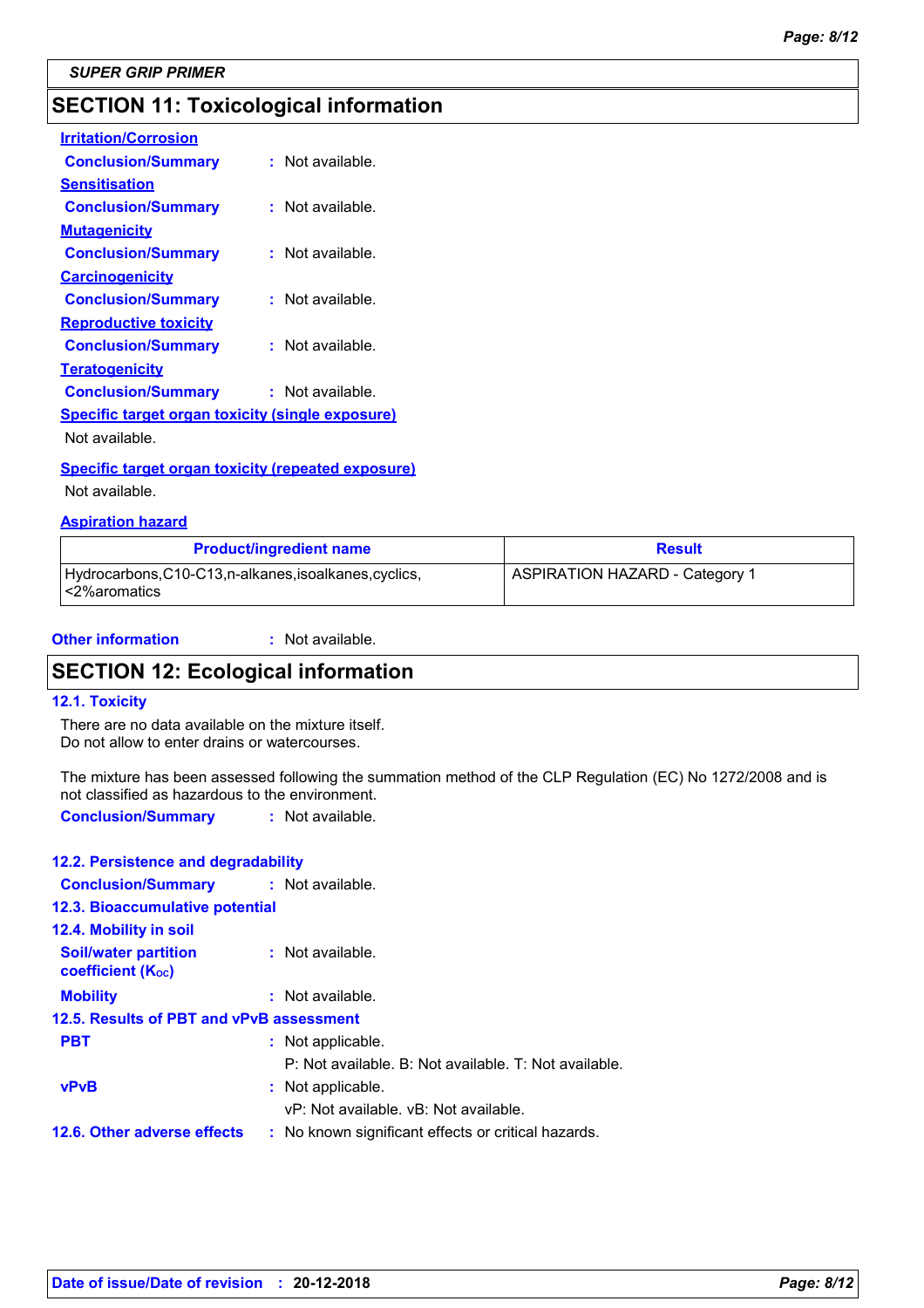# **SECTION 11: Toxicological information**

| <b>Irritation/Corrosion</b>                             |                    |
|---------------------------------------------------------|--------------------|
| <b>Conclusion/Summary</b>                               | $:$ Not available. |
| Sensitisation                                           |                    |
| <b>Conclusion/Summary</b>                               | : Not available.   |
| <u>Mutagenicity</u>                                     |                    |
| <b>Conclusion/Summary</b>                               | : Not available.   |
| <b>Carcinogenicity</b>                                  |                    |
| <b>Conclusion/Summary</b>                               | $:$ Not available. |
| <b>Reproductive toxicity</b>                            |                    |
| <b>Conclusion/Summary</b>                               | : Not available.   |
| <b>Teratogenicity</b>                                   |                    |
| <b>Conclusion/Summary</b>                               | : Not available.   |
| <b>Specific target organ toxicity (single exposure)</b> |                    |
| Not available.                                          |                    |

#### **Specific target organ toxicity (repeated exposure)**

Not available.

#### **Aspiration hazard**

| <b>Product/ingredient name</b>                                         | <b>Result</b>                         |
|------------------------------------------------------------------------|---------------------------------------|
| Hydrocarbons, C10-C13, n-alkanes, isoalkanes, cyclics,<br><2%aromatics | <b>ASPIRATION HAZARD - Category 1</b> |

#### **Other information :** : Not available.

## **SECTION 12: Ecological information**

#### **12.1. Toxicity**

There are no data available on the mixture itself. Do not allow to enter drains or watercourses.

The mixture has been assessed following the summation method of the CLP Regulation (EC) No 1272/2008 and is not classified as hazardous to the environment.

**Conclusion/Summary :** Not available.

#### **12.2. Persistence and degradability**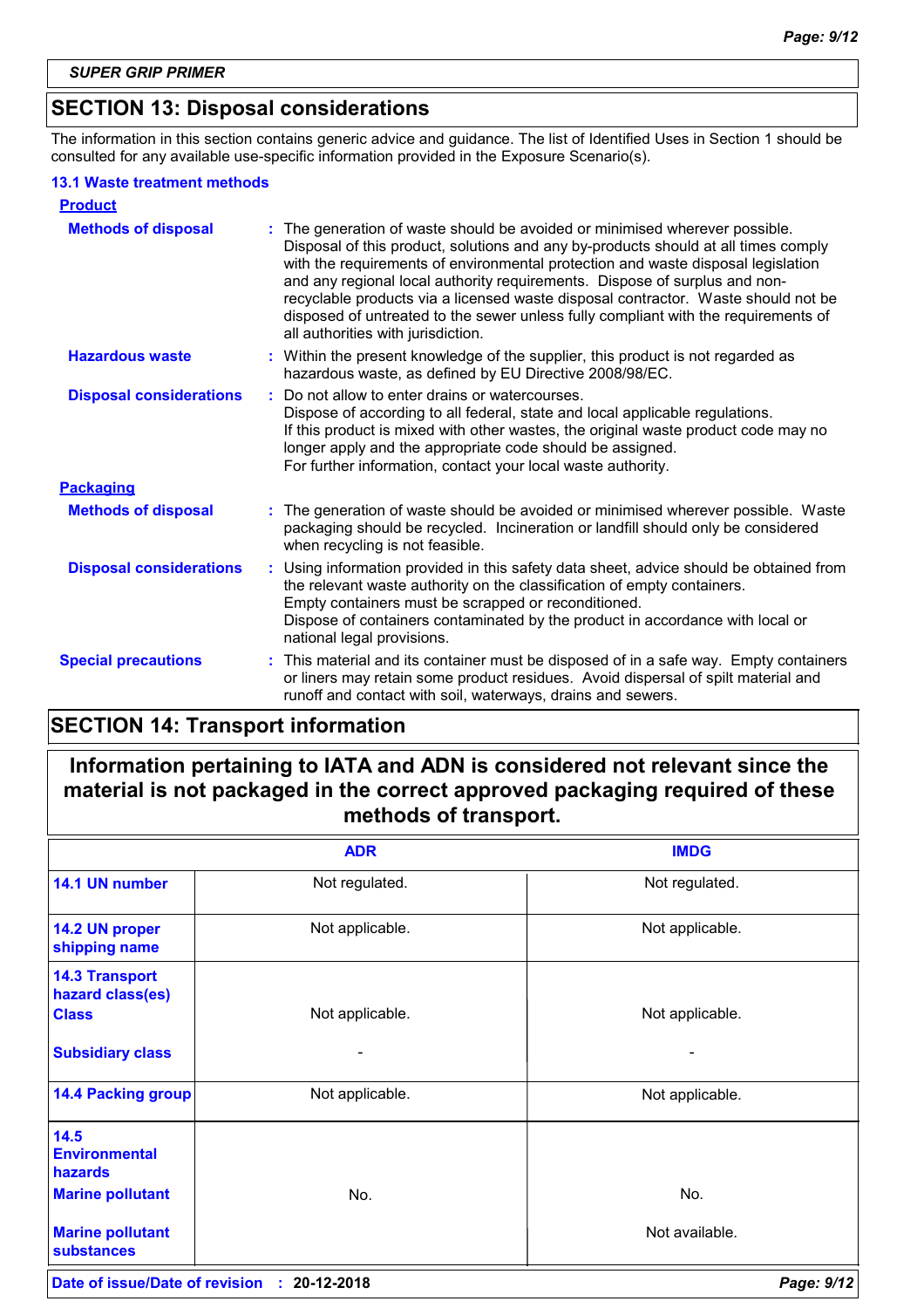# **SECTION 13: Disposal considerations**

The information in this section contains generic advice and guidance. The list of Identified Uses in Section 1 should be consulted for any available use-specific information provided in the Exposure Scenario(s).

#### **13.1 Waste treatment methods**

| <b>Product</b>                 |                                                                                                                                                                                                                                                                                                                                                                                                                                                                                                                                                    |
|--------------------------------|----------------------------------------------------------------------------------------------------------------------------------------------------------------------------------------------------------------------------------------------------------------------------------------------------------------------------------------------------------------------------------------------------------------------------------------------------------------------------------------------------------------------------------------------------|
| <b>Methods of disposal</b>     | The generation of waste should be avoided or minimised wherever possible.<br>Disposal of this product, solutions and any by-products should at all times comply<br>with the requirements of environmental protection and waste disposal legislation<br>and any regional local authority requirements. Dispose of surplus and non-<br>recyclable products via a licensed waste disposal contractor. Waste should not be<br>disposed of untreated to the sewer unless fully compliant with the requirements of<br>all authorities with jurisdiction. |
| <b>Hazardous waste</b>         | : Within the present knowledge of the supplier, this product is not regarded as<br>hazardous waste, as defined by EU Directive 2008/98/EC.                                                                                                                                                                                                                                                                                                                                                                                                         |
| <b>Disposal considerations</b> | Do not allow to enter drains or watercourses.<br>Dispose of according to all federal, state and local applicable regulations.<br>If this product is mixed with other wastes, the original waste product code may no<br>longer apply and the appropriate code should be assigned.<br>For further information, contact your local waste authority.                                                                                                                                                                                                   |
| <b>Packaging</b>               |                                                                                                                                                                                                                                                                                                                                                                                                                                                                                                                                                    |
| <b>Methods of disposal</b>     | The generation of waste should be avoided or minimised wherever possible. Waste<br>packaging should be recycled. Incineration or landfill should only be considered<br>when recycling is not feasible.                                                                                                                                                                                                                                                                                                                                             |
| <b>Disposal considerations</b> | Using information provided in this safety data sheet, advice should be obtained from<br>the relevant waste authority on the classification of empty containers.<br>Empty containers must be scrapped or reconditioned.<br>Dispose of containers contaminated by the product in accordance with local or<br>national legal provisions.                                                                                                                                                                                                              |
| <b>Special precautions</b>     | This material and its container must be disposed of in a safe way. Empty containers<br>÷.<br>or liners may retain some product residues. Avoid dispersal of spilt material and<br>runoff and contact with soil, waterways, drains and sewers.                                                                                                                                                                                                                                                                                                      |

# **SECTION 14: Transport information**

# **Information pertaining to IATA and ADN is considered not relevant since the material is not packaged in the correct approved packaging required of these methods of transport.**

|                                                                                                                           | <b>ADR</b>      | <b>IMDG</b>           |
|---------------------------------------------------------------------------------------------------------------------------|-----------------|-----------------------|
| 14.1 UN number                                                                                                            | Not regulated.  | Not regulated.        |
| 14.2 UN proper<br>shipping name                                                                                           | Not applicable. | Not applicable.       |
| <b>14.3 Transport</b><br>hazard class(es)<br><b>Class</b><br><b>Subsidiary class</b>                                      | Not applicable. | Not applicable.       |
| <b>14.4 Packing group</b>                                                                                                 | Not applicable. | Not applicable.       |
| 14.5<br><b>Environmental</b><br><b>hazards</b><br><b>Marine pollutant</b><br><b>Marine pollutant</b><br><b>substances</b> | No.             | No.<br>Not available. |
|                                                                                                                           |                 |                       |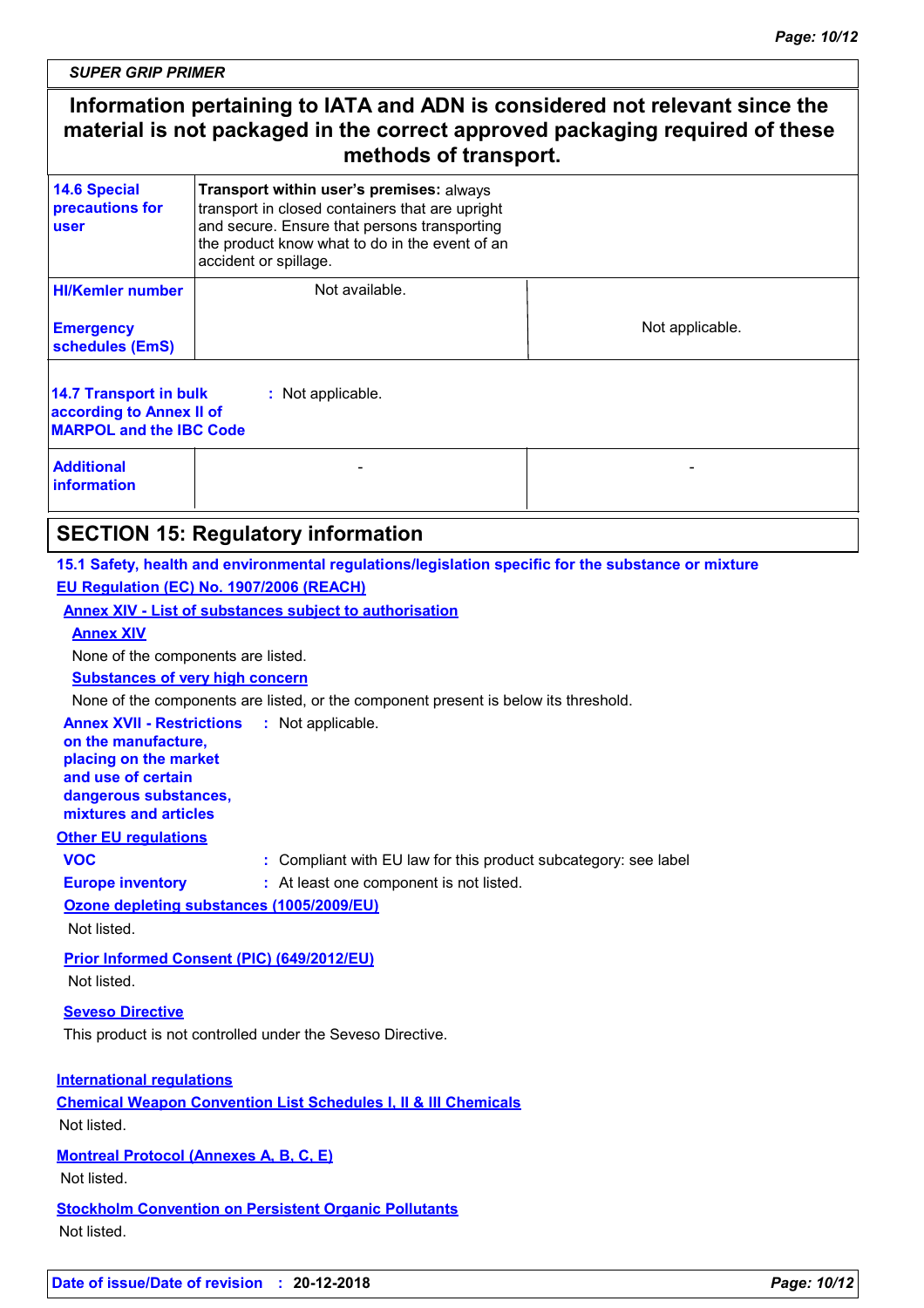*SUPER GRIP PRIMER*

# **Information pertaining to IATA and ADN is considered not relevant since the material is not packaged in the correct approved packaging required of these methods of transport.**

| <b>14.6 Special</b><br>precautions for<br>user                                                                   | Transport within user's premises: always<br>transport in closed containers that are upright<br>and secure. Ensure that persons transporting<br>the product know what to do in the event of an<br>accident or spillage. |                 |  |  |  |
|------------------------------------------------------------------------------------------------------------------|------------------------------------------------------------------------------------------------------------------------------------------------------------------------------------------------------------------------|-----------------|--|--|--|
| <b>HI/Kemler number</b>                                                                                          | Not available.                                                                                                                                                                                                         |                 |  |  |  |
| <b>Emergency</b><br>schedules (EmS)                                                                              |                                                                                                                                                                                                                        | Not applicable. |  |  |  |
| <b>14.7 Transport in bulk</b><br>: Not applicable.<br>according to Annex II of<br><b>MARPOL and the IBC Code</b> |                                                                                                                                                                                                                        |                 |  |  |  |
| <b>Additional</b><br>information                                                                                 |                                                                                                                                                                                                                        |                 |  |  |  |

# **SECTION 15: Regulatory information**

**15.1 Safety, health and environmental regulations/legislation specific for the substance or mixture EU Regulation (EC) No. 1907/2006 (REACH)**

#### **Annex XIV - List of substances subject to authorisation**

#### **Annex XIV**

None of the components are listed.

#### **Substances of very high concern**

None of the components are listed, or the component present is below its threshold.

| <b>Annex XVII - Restrictions</b> | : Not applicable. |
|----------------------------------|-------------------|
| on the manufacture,              |                   |

**placing on the market and use of certain** 

**dangerous substances,**

**mixtures and articles**

### **Other EU regulations**

**VOC :** Compliant with EU law for this product subcategory: see label

**Europe inventory :** At least one component is not listed.

**Ozone depleting substances (1005/2009/EU)** Not listed.

**Prior Informed Consent (PIC) (649/2012/EU)** Not listed.

#### **Seveso Directive**

This product is not controlled under the Seveso Directive.

#### **International regulations**

**Chemical Weapon Convention List Schedules I, II & III Chemicals** Not listed.

**Montreal Protocol (Annexes A, B, C, E)**

Not listed.

**Stockholm Convention on Persistent Organic Pollutants** Not listed.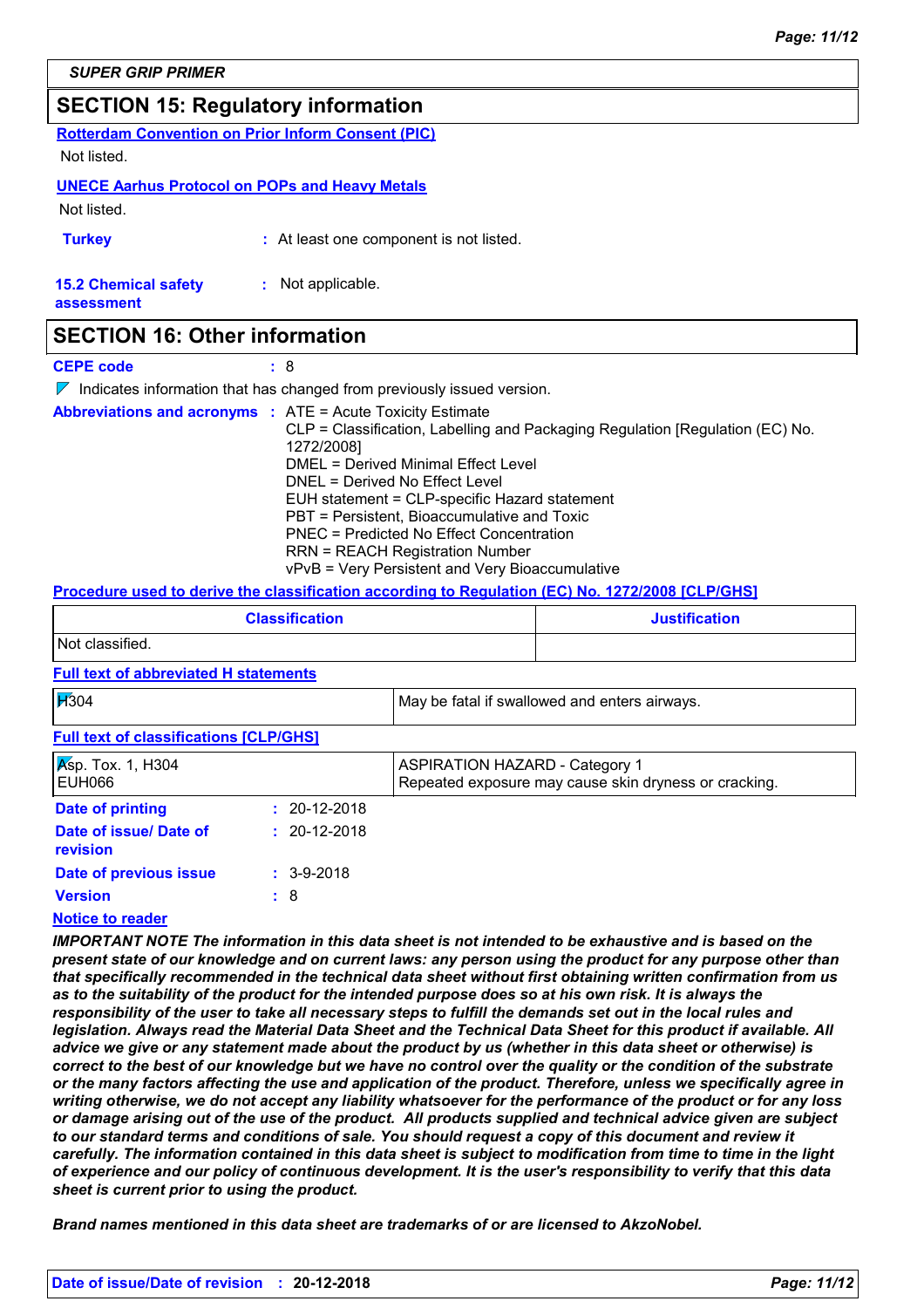# **SECTION 15: Regulatory information**

**Rotterdam Convention on Prior Inform Consent (PIC)**

Not listed.

#### **UNECE Aarhus Protocol on POPs and Heavy Metals**

Not listed.

**Turkey :** At least one component is not listed.

**15.2 Chemical safety :** Not applicable.

**assessment**

### **SECTION 16: Other information**

**CEPE code :** 8

 $\nabla$  Indicates information that has changed from previously issued version.

|  | <b>Abbreviations and acronyms : ATE = Acute Toxicity Estimate</b><br>CLP = Classification, Labelling and Packaging Regulation [Regulation (EC) No.<br>1272/2008]<br>DMEL = Derived Minimal Effect Level<br>DNEL = Derived No Effect Level<br>EUH statement = CLP-specific Hazard statement<br>PBT = Persistent, Bioaccumulative and Toxic<br>PNEC = Predicted No Effect Concentration |
|--|---------------------------------------------------------------------------------------------------------------------------------------------------------------------------------------------------------------------------------------------------------------------------------------------------------------------------------------------------------------------------------------|
|  | <b>RRN = REACH Registration Number</b><br>vPvB = Very Persistent and Very Bioaccumulative                                                                                                                                                                                                                                                                                             |

#### **Procedure used to derive the classification according to Regulation (EC) No. 1272/2008 [CLP/GHS]**

| <b>Classification</b> | <b>Justification</b> |
|-----------------------|----------------------|
| Not classified.       |                      |

#### **Full text of abbreviated H statements**

| $\cancel{17}304$                               |                    | May be fatal if swallowed and enters airways.                                                  |
|------------------------------------------------|--------------------|------------------------------------------------------------------------------------------------|
| <b>Full text of classifications [CLP/GHS]</b>  |                    |                                                                                                |
| $\sqrt{\mathsf{K}}$ sp. Tox. 1, H304<br>EUH066 |                    | <b>ASPIRATION HAZARD - Category 1</b><br>Repeated exposure may cause skin dryness or cracking. |
| Date of printing                               | $: 20-12-2018$     |                                                                                                |
| Date of issue/ Date of<br>revision             | $: 20 - 12 - 2018$ |                                                                                                |
| Date of previous issue                         | $: 3-9-2018$       |                                                                                                |
| <b>Version</b>                                 | : 8                |                                                                                                |
|                                                |                    |                                                                                                |

#### **Notice to reader**

*IMPORTANT NOTE The information in this data sheet is not intended to be exhaustive and is based on the present state of our knowledge and on current laws: any person using the product for any purpose other than that specifically recommended in the technical data sheet without first obtaining written confirmation from us*  as to the suitability of the product for the intended purpose does so at his own risk. It is always the responsibility of the user to take all necessary steps to fulfill the demands set out in the local rules and *legislation. Always read the Material Data Sheet and the Technical Data Sheet for this product if available. All advice we give or any statement made about the product by us (whether in this data sheet or otherwise) is correct to the best of our knowledge but we have no control over the quality or the condition of the substrate or the many factors affecting the use and application of the product. Therefore, unless we specifically agree in writing otherwise, we do not accept any liability whatsoever for the performance of the product or for any loss or damage arising out of the use of the product. All products supplied and technical advice given are subject to our standard terms and conditions of sale. You should request a copy of this document and review it carefully. The information contained in this data sheet is subject to modification from time to time in the light of experience and our policy of continuous development. It is the user's responsibility to verify that this data sheet is current prior to using the product.*

*Brand names mentioned in this data sheet are trademarks of or are licensed to AkzoNobel.*